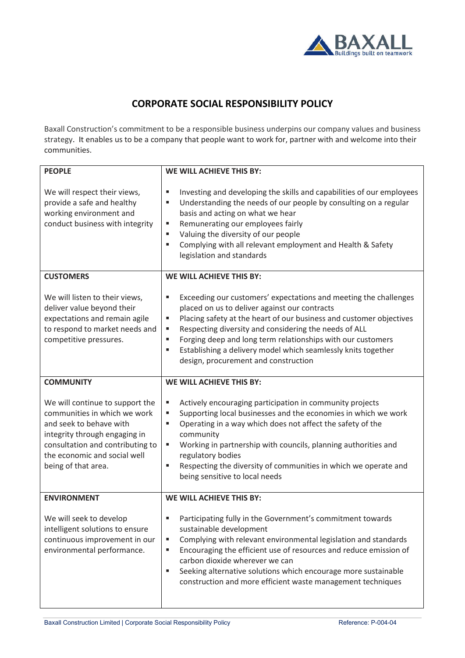

## **CORPORATE SOCIAL RESPONSIBILITY POLICY**

Baxall Construction's commitment to be a responsible business underpins our company values and business strategy. It enables us to be a company that people want to work for, partner with and welcome into their communities.

| <b>PEOPLE</b>                                                                                                                                                                                                          | <b>WE WILL ACHIEVE THIS BY:</b>                                                                                                                                                                                                                                                                                                                                                                                                                    |
|------------------------------------------------------------------------------------------------------------------------------------------------------------------------------------------------------------------------|----------------------------------------------------------------------------------------------------------------------------------------------------------------------------------------------------------------------------------------------------------------------------------------------------------------------------------------------------------------------------------------------------------------------------------------------------|
| We will respect their views,<br>provide a safe and healthy<br>working environment and<br>conduct business with integrity                                                                                               | Investing and developing the skills and capabilities of our employees<br>п<br>Understanding the needs of our people by consulting on a regular<br>п<br>basis and acting on what we hear<br>Remunerating our employees fairly<br>п<br>Valuing the diversity of our people<br>п<br>Complying with all relevant employment and Health & Safety<br>п<br>legislation and standards                                                                      |
| <b>CUSTOMERS</b>                                                                                                                                                                                                       | <b>WE WILL ACHIEVE THIS BY:</b>                                                                                                                                                                                                                                                                                                                                                                                                                    |
| We will listen to their views,<br>deliver value beyond their<br>expectations and remain agile<br>to respond to market needs and<br>competitive pressures.                                                              | Exceeding our customers' expectations and meeting the challenges<br>ш<br>placed on us to deliver against our contracts<br>Placing safety at the heart of our business and customer objectives<br>ш<br>Respecting diversity and considering the needs of ALL<br>п<br>Forging deep and long term relationships with our customers<br>п<br>Establishing a delivery model which seamlessly knits together<br>п<br>design, procurement and construction |
| <b>COMMUNITY</b>                                                                                                                                                                                                       | <b>WE WILL ACHIEVE THIS BY:</b>                                                                                                                                                                                                                                                                                                                                                                                                                    |
| We will continue to support the<br>communities in which we work<br>and seek to behave with<br>integrity through engaging in<br>consultation and contributing to<br>the economic and social well<br>being of that area. | Actively encouraging participation in community projects<br>п<br>Supporting local businesses and the economies in which we work<br>ш<br>Operating in a way which does not affect the safety of the<br>п<br>community<br>Working in partnership with councils, planning authorities and<br>п<br>regulatory bodies<br>Respecting the diversity of communities in which we operate and<br>п<br>being sensitive to local needs                         |
| <b>ENVIRONMENT</b>                                                                                                                                                                                                     | <b>WE WILL ACHIEVE THIS BY:</b>                                                                                                                                                                                                                                                                                                                                                                                                                    |
| We will seek to develop<br>intelligent solutions to ensure<br>continuous improvement in our<br>environmental performance.                                                                                              | Participating fully in the Government's commitment towards<br>п<br>sustainable development<br>Complying with relevant environmental legislation and standards<br>п<br>Encouraging the efficient use of resources and reduce emission of<br>п<br>carbon dioxide wherever we can<br>Seeking alternative solutions which encourage more sustainable<br>ш<br>construction and more efficient waste management techniques                               |